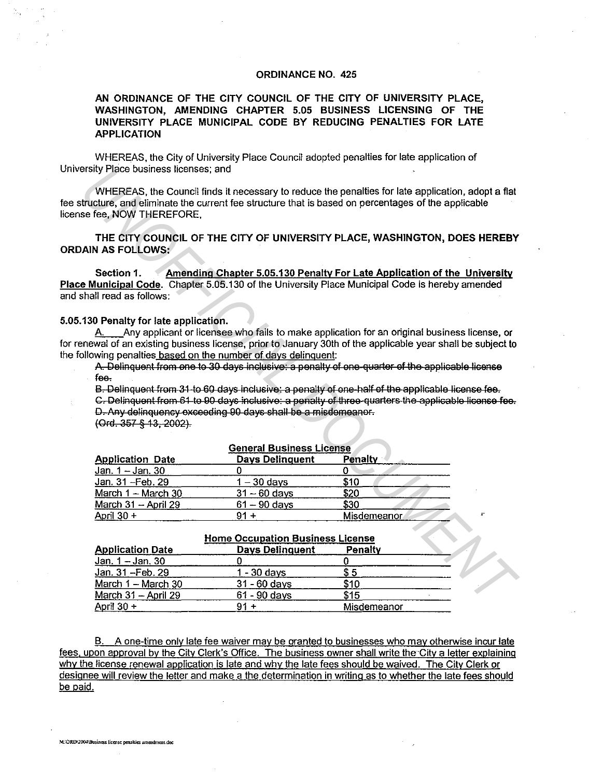## ORDINANCE NO. 425

AN ORDINANCE OF THE CITY COUNCIL OF THE CITY OF UNIVERSITY PLACE, WASHINGTON, AMENDING CHAPTER 5.05 BUSINESS LICENSING OF THE UNIVERSITY PLACE MUNICIPAL CODE BY REDUCING PENALTIES FOR LATE APPLICATION

WHEREAS, the City of University Place Council adopted penalties for late application of University Place business licenses; and

## 5.05.130 Penalty for late application.

| ersity Place business licenses; and                                                                                                                                                                                  |                        |                                                                                                                                                                                                                                                                                                                                                                                                                                                                                                                       |  |  |
|----------------------------------------------------------------------------------------------------------------------------------------------------------------------------------------------------------------------|------------------------|-----------------------------------------------------------------------------------------------------------------------------------------------------------------------------------------------------------------------------------------------------------------------------------------------------------------------------------------------------------------------------------------------------------------------------------------------------------------------------------------------------------------------|--|--|
| se fee, NOW THEREFORE,                                                                                                                                                                                               |                        | WHEREAS, the Council finds it necessary to reduce the penalties for late application, adopt a flat<br>tructure, and eliminate the current fee structure that is based on percentages of the applicable                                                                                                                                                                                                                                                                                                                |  |  |
| AIN AS FOLLOWS:                                                                                                                                                                                                      |                        | THE CITY COUNCIL OF THE CITY OF UNIVERSITY PLACE, WASHINGTON, DOES HEREBY                                                                                                                                                                                                                                                                                                                                                                                                                                             |  |  |
| Section 1.<br>shall read as follows:                                                                                                                                                                                 |                        | Amending Chapter 5.05.130 Penalty For Late Application of the University<br>e Municipal Code. Chapter 5.05.130 of the University Place Municipal Code is hereby amended                                                                                                                                                                                                                                                                                                                                               |  |  |
| 130 Penalty for late application.<br>А. –<br>pllowing penalties based on the number of days delinquent:<br>f <sub>ee</sub><br>D. Any delinquency exceeding 90 days shall be a misdemeanor.<br>(Ord. 357 § 13, 2002). |                        | Any applicant or licensee who fails to make application for an original business license, or<br>newal of an existing business license, prior to January 30th of the applicable year shall be subject to<br>A. Delinquent from one to 30 days inclusive: a penalty of one-quarter of the applicable license<br>B. Delinquent from 31 to 60 days inclusive: a penalty of one half of the applicable license fee.<br>C. Delinquent from 61 to 90 days inclusive: a penalty of three-quarters the applicable license fee. |  |  |
| <b>General Business License</b>                                                                                                                                                                                      |                        |                                                                                                                                                                                                                                                                                                                                                                                                                                                                                                                       |  |  |
| <b>Application Date</b>                                                                                                                                                                                              | <b>Days Delinquent</b> | Penalty                                                                                                                                                                                                                                                                                                                                                                                                                                                                                                               |  |  |
| Jan. 1 - Jan. 30                                                                                                                                                                                                     | 0                      | 0                                                                                                                                                                                                                                                                                                                                                                                                                                                                                                                     |  |  |
| Jan. 31 - Feb. 29                                                                                                                                                                                                    | $1 - 30$ days          | \$10                                                                                                                                                                                                                                                                                                                                                                                                                                                                                                                  |  |  |
| March 1 - March 30                                                                                                                                                                                                   | $31 - 60$ days         | \$20                                                                                                                                                                                                                                                                                                                                                                                                                                                                                                                  |  |  |
| March 31 - April 29                                                                                                                                                                                                  | $61 - 90$ days         | \$30                                                                                                                                                                                                                                                                                                                                                                                                                                                                                                                  |  |  |
| April 30 +                                                                                                                                                                                                           | $91 +$                 | <b>Misdemeanor</b>                                                                                                                                                                                                                                                                                                                                                                                                                                                                                                    |  |  |
|                                                                                                                                                                                                                      |                        |                                                                                                                                                                                                                                                                                                                                                                                                                                                                                                                       |  |  |
| <b>Home Occupation Business License</b>                                                                                                                                                                              |                        |                                                                                                                                                                                                                                                                                                                                                                                                                                                                                                                       |  |  |
| <b>Application Date</b>                                                                                                                                                                                              | <b>Days Delinguent</b> | Penalty                                                                                                                                                                                                                                                                                                                                                                                                                                                                                                               |  |  |
| Jan. 1 - Jan. 30                                                                                                                                                                                                     | $\Omega$               | 0                                                                                                                                                                                                                                                                                                                                                                                                                                                                                                                     |  |  |
| Jan. 31 - Feb. 29                                                                                                                                                                                                    | $1 - 30$ days          | \$5                                                                                                                                                                                                                                                                                                                                                                                                                                                                                                                   |  |  |
| March 1 - March 30                                                                                                                                                                                                   | $31 - 60$ days         | \$10                                                                                                                                                                                                                                                                                                                                                                                                                                                                                                                  |  |  |
| March 31 - April 29                                                                                                                                                                                                  | $61 - 90$ days         | \$15                                                                                                                                                                                                                                                                                                                                                                                                                                                                                                                  |  |  |
| Anril 20 +                                                                                                                                                                                                           | $01 +$                 | Micdamaanor                                                                                                                                                                                                                                                                                                                                                                                                                                                                                                           |  |  |

## Home Occupation Business License

| <b>Application Date</b>  | <b>Days Delinquent</b> | Penalty     |
|--------------------------|------------------------|-------------|
| <u>Jan. 1 – Jan</u> . 30 |                        |             |
| Jan. 31 - Feb. 29        | 1 - 30 davs            | S 5         |
| March 1 - March 30       | $31 - 60$ days         | \$10        |
| March 31 - April 29      | $61 - 90$ days         | \$15        |
| April 30 +               |                        | Misdemeanor |

B. A one-time only late fee waiver may be granted to businesses who may otherwise incur late fees, upon approval by the City Clerk's Office. The business owner shall write the City a letter explaining why the license renewal application is late and why the late fees should be waived. The City Clerk or designee will review the letter and make a the determination in writing as to whether the late fees should be paid.